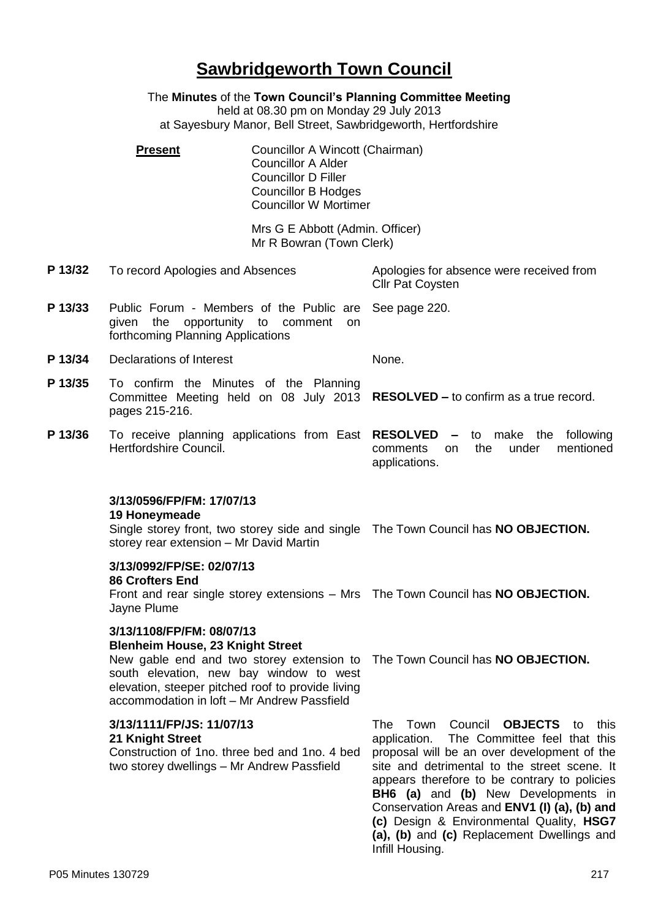# **Sawbridgeworth Town Council**

The **Minutes** of the **Town Council's Planning Committee Meeting** held at 08.30 pm on Monday 29 July 2013

at Sayesbury Manor, Bell Street, Sawbridgeworth, Hertfordshire

**Present Councillor A Wincott (Chairman)** Councillor A Alder Councillor D Filler Councillor B Hodges Councillor W Mortimer

> Mrs G E Abbott (Admin. Officer) Mr R Bowran (Town Clerk)

**P 13/32** To record Apologies and Absences Apologies for absence were received from

Cllr Pat Coysten

**P 13/33** Public Forum - Members of the Public are given the opportunity to comment on forthcoming Planning Applications See page 220.

**P 13/34** Declarations of Interest None.

- **P 13/35** To confirm the Minutes of the Planning Committee Meeting held on 08 July 2013 **RESOLVED –** to confirm as a true record. pages 215-216.
- **P 13/36** To receive planning applications from East **RESOLVED –** to make the following Hertfordshire Council. comments on the under mentioned applications.

#### **3/13/0596/FP/FM: 17/07/13**

#### **19 Honeymeade**

Single storey front, two storey side and single The Town Council has **NO OBJECTION.** storey rear extension – Mr David Martin

#### **3/13/0992/FP/SE: 02/07/13**

#### **86 Crofters End**

Front and rear single storey extensions – Mrs The Town Council has **NO OBJECTION.** Jayne Plume

#### **3/13/1108/FP/FM: 08/07/13 Blenheim House, 23 Knight Street**

New gable end and two storey extension to The Town Council has **NO OBJECTION.** south elevation, new bay window to west elevation, steeper pitched roof to provide living accommodation in loft – Mr Andrew Passfield

## **3/13/1111/FP/JS: 11/07/13**

### **21 Knight Street**

Construction of 1no. three bed and 1no. 4 bed two storey dwellings – Mr Andrew Passfield

The Town Council **OBJECTS** to this application. The Committee feel that this proposal will be an over development of the site and detrimental to the street scene. It appears therefore to be contrary to policies **BH6 (a)** and **(b)** New Developments in Conservation Areas and **ENV1 (I) (a), (b) and (c)** Design & Environmental Quality, **HSG7 (a), (b)** and **(c)** Replacement Dwellings and Infill Housing.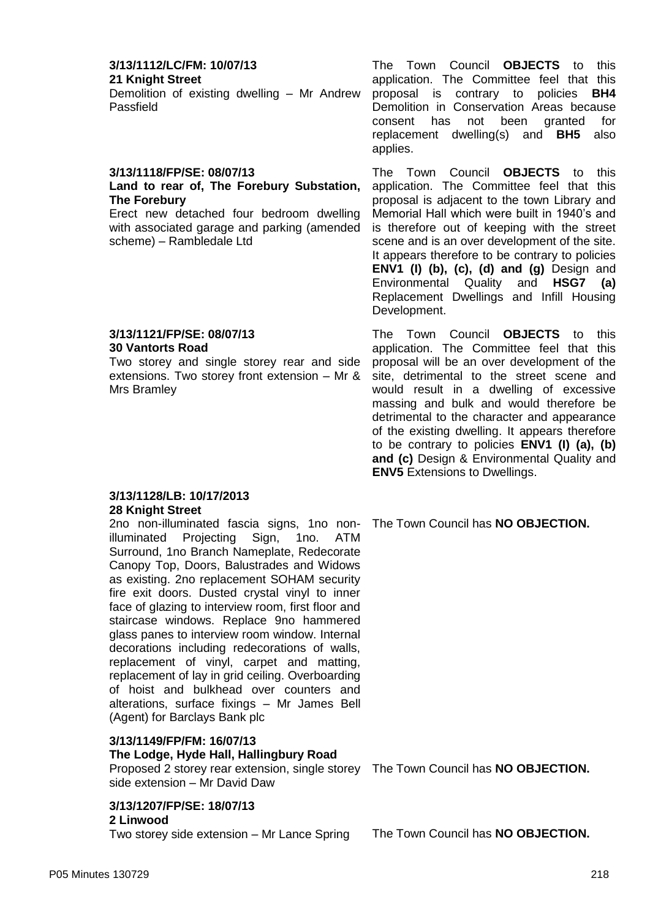#### **3/13/1112/LC/FM: 10/07/13 21 Knight Street**

Demolition of existing dwelling – Mr Andrew Passfield

#### **3/13/1118/FP/SE: 08/07/13**

#### **Land to rear of, The Forebury Substation, The Forebury**

Erect new detached four bedroom dwelling with associated garage and parking (amended scheme) – Rambledale Ltd

#### **3/13/1121/FP/SE: 08/07/13 30 Vantorts Road**

Two storey and single storey rear and side extensions. Two storey front extension – Mr & Mrs Bramley

#### **3/13/1128/LB: 10/17/2013 28 Knight Street**

2no non-illuminated fascia signs, 1no nonilluminated Projecting Sign, 1no. ATM Surround, 1no Branch Nameplate, Redecorate Canopy Top, Doors, Balustrades and Widows as existing. 2no replacement SOHAM security fire exit doors. Dusted crystal vinyl to inner face of glazing to interview room, first floor and staircase windows. Replace 9no hammered glass panes to interview room window. Internal decorations including redecorations of walls, replacement of vinyl, carpet and matting, replacement of lay in grid ceiling. Overboarding of hoist and bulkhead over counters and alterations, surface fixings – Mr James Bell (Agent) for Barclays Bank plc

## **3/13/1149/FP/FM: 16/07/13 The Lodge, Hyde Hall, Hallingbury Road**

Proposed 2 storey rear extension, single storey The Town Council has **NO OBJECTION.** side extension – Mr David Daw

**3/13/1207/FP/SE: 18/07/13 2 Linwood**

Two storey side extension – Mr Lance Spring The Town Council has **NO OBJECTION.**

The Town Council **OBJECTS** to this application. The Committee feel that this proposal is contrary to policies **BH4**  Demolition in Conservation Areas because consent has not been granted for replacement dwelling(s) and **BH5** also applies.

The Town Council **OBJECTS** to this application. The Committee feel that this proposal is adjacent to the town Library and Memorial Hall which were built in 1940's and is therefore out of keeping with the street scene and is an over development of the site. It appears therefore to be contrary to policies **ENV1 (I) (b), (c), (d) and (g)** Design and Environmental Quality and **HSG7 (a)**  Replacement Dwellings and Infill Housing Development.

The Town Council **OBJECTS** to this application. The Committee feel that this proposal will be an over development of the site, detrimental to the street scene and would result in a dwelling of excessive massing and bulk and would therefore be detrimental to the character and appearance of the existing dwelling. It appears therefore to be contrary to policies **ENV1 (I) (a), (b) and (c)** Design & Environmental Quality and **ENV5** Extensions to Dwellings.

The Town Council has **NO OBJECTION.**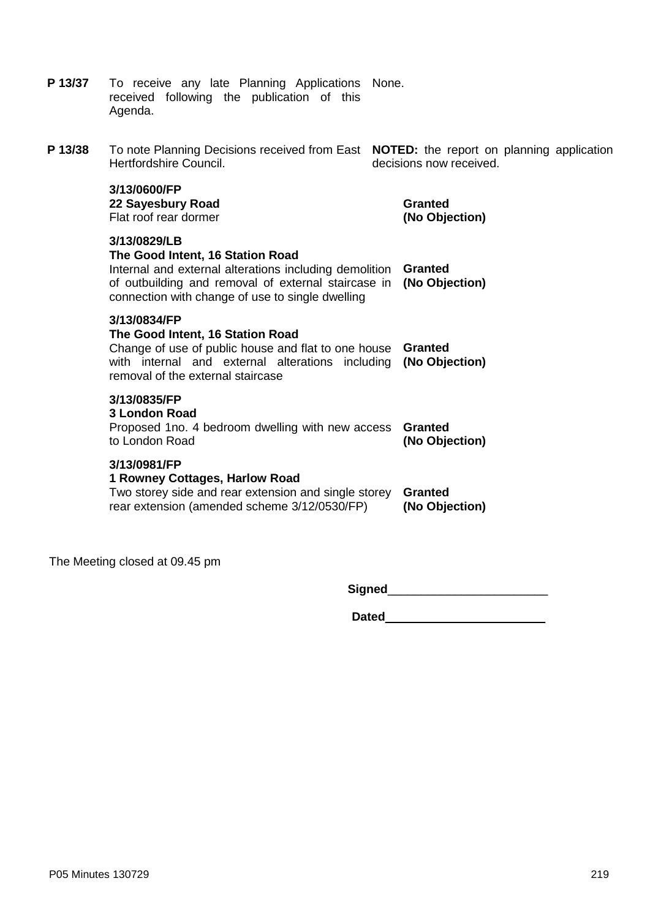|         | received following the publication of this<br>Agenda.                                                                                                                                                                 |                                  |
|---------|-----------------------------------------------------------------------------------------------------------------------------------------------------------------------------------------------------------------------|----------------------------------|
| P 13/38 | To note Planning Decisions received from East NOTED: the report on planning application<br>Hertfordshire Council.                                                                                                     | decisions now received.          |
|         | 3/13/0600/FP<br>22 Sayesbury Road<br>Flat roof rear dormer                                                                                                                                                            | <b>Granted</b><br>(No Objection) |
|         | 3/13/0829/LB<br>The Good Intent, 16 Station Road<br>Internal and external alterations including demolition<br>of outbuilding and removal of external staircase in<br>connection with change of use to single dwelling | <b>Granted</b><br>(No Objection) |
|         | 3/13/0834/FP<br>The Good Intent, 16 Station Road<br>Change of use of public house and flat to one house Granted<br>with internal and external alterations including<br>removal of the external staircase              | (No Objection)                   |
|         | 3/13/0835/FP<br><b>3 London Road</b><br>Proposed 1no. 4 bedroom dwelling with new access<br>to London Road                                                                                                            | <b>Granted</b><br>(No Objection) |
|         | 3/13/0981/FP<br>1 Rowney Cottages, Harlow Road<br>Two storey side and rear extension and single storey<br>rear extension (amended scheme 3/12/0530/FP)                                                                | <b>Granted</b><br>(No Objection) |
|         |                                                                                                                                                                                                                       |                                  |

The Meeting closed at 09.45 pm

**P 13/37** To receive any late Planning Applications

**Signed**\_\_\_\_\_\_\_\_\_\_\_\_\_\_\_\_\_\_\_\_\_\_\_\_

None.

**Dated**\_\_\_\_\_\_\_\_\_\_\_\_\_\_\_\_\_\_\_\_\_\_\_\_